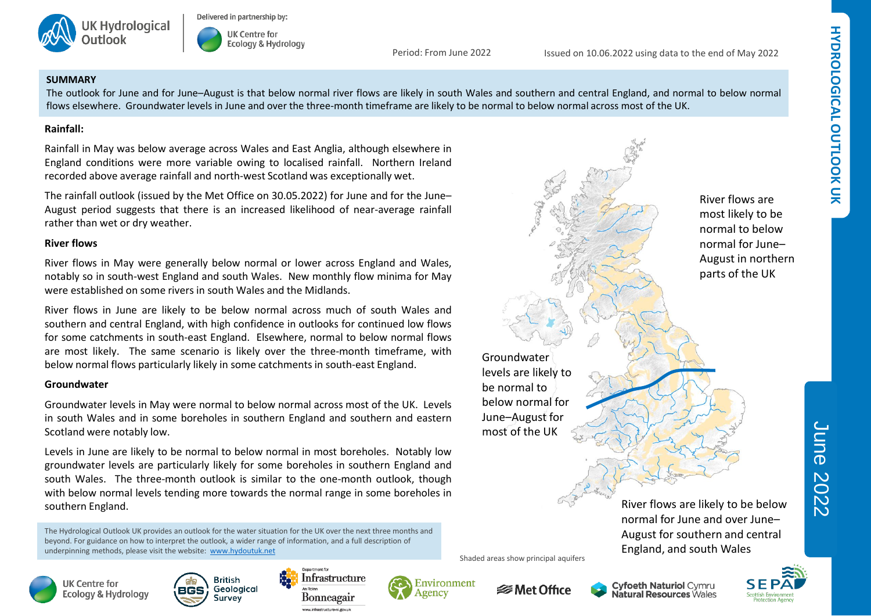



Period: From June 2022

Issued on 10.06.2022 using data to the end of May 2022

### **SUMMARY**

The outlook for June and for June–August is that below normal river flows are likely in south Wales and southern and central England, and normal to below normal flows elsewhere. Groundwater levels in June and over the three-month timeframe are likely to be normal to below normal across most of the UK.

## **Rainfall:**

Rainfall in May was below average across Wales and East Anglia, although elsewhere in England conditions were more variable owing to localised rainfall. Northern Ireland recorded above average rainfall and north-west Scotland was exceptionally wet.

The rainfall outlook (issued by the Met Office on 30.05.2022) for June and for the June– August period suggests that there is an increased likelihood of near-average rainfall rather than wet or dry weather.

## **River flows**

River flows in May were generally below normal or lower across England and Wales, notably so in south-west England and south Wales. New monthly flow minima for May were established on some rivers in south Wales and the Midlands.

River flows in June are likely to be below normal across much of south Wales and southern and central England, with high confidence in outlooks for continued low flows for some catchments in south-east England. Elsewhere, normal to below normal flows are most likely. The same scenario is likely over the three-month timeframe, with below normal flows particularly likely in some catchments in south-east England.

# **Groundwater**

Groundwater levels in May were normal to below normal across most of the UK. Levels in south Wales and in some boreholes in southern England and southern and eastern Scotland were notably low.

Levels in June are likely to be normal to below normal in most boreholes. Notably low groundwater levels are particularly likely for some boreholes in southern England and south Wales. The three-month outlook is similar to the one-month outlook, though with below normal levels tending more towards the normal range in some boreholes in southern England.

The Hydrological Outlook UK provides an outlook for the water situation for the UK over the next three months and beyond. For guidance on how to interpret the outlook, a wider range of information, and a full description of underpinning methods, please visit the website: [www.hydoutuk.net](http://www.hydoutuk.net/)











*<b>* Met Office

Shaded areas show principal aquifers

Groundwater levels are likely to be normal to below normal for June–August for most of the UK



normal for June– August in northern parts of the UK

River flows are most likely to be normal to below

> April 2021 June 2022

River flows are likely to be below normal for June and over June– August for southern and central England, and south Wales